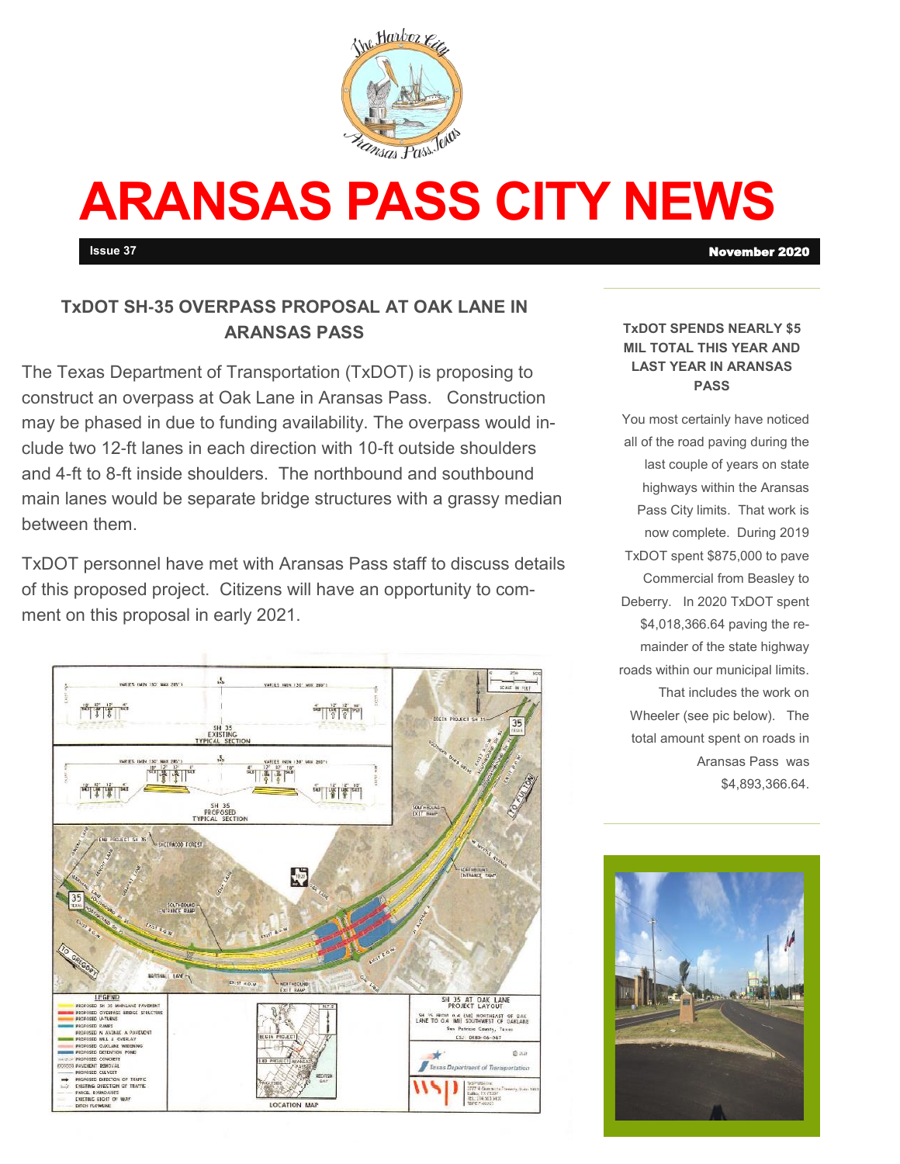

# **ARANSAS PASS CITY NEWS**

# **TxDOT SH-35 OVERPASS PROPOSAL AT OAK LANE IN ARANSAS PASS**

The Texas Department of Transportation (TxDOT) is proposing to construct an overpass at Oak Lane in Aransas Pass. Construction may be phased in due to funding availability. The overpass would include two 12-ft lanes in each direction with 10-ft outside shoulders and 4-ft to 8-ft inside shoulders. The northbound and southbound main lanes would be separate bridge structures with a grassy median between them.

TxDOT personnel have met with Aransas Pass staff to discuss details of this proposed project. Citizens will have an opportunity to comment on this proposal in early 2021.



#### **TxDOT SPENDS NEARLY \$5 MIL TOTAL THIS YEAR AND LAST YEAR IN ARANSAS PASS**

You most certainly have noticed all of the road paving during the last couple of years on state highways within the Aransas Pass City limits. That work is now complete. During 2019 TxDOT spent \$875,000 to pave Commercial from Beasley to Deberry. In 2020 TxDOT spent \$4,018,366.64 paving the remainder of the state highway roads within our municipal limits. That includes the work on Wheeler (see pic below). The total amount spent on roads in Aransas Pass was \$4,893,366.64.



**Issue 37** November 2020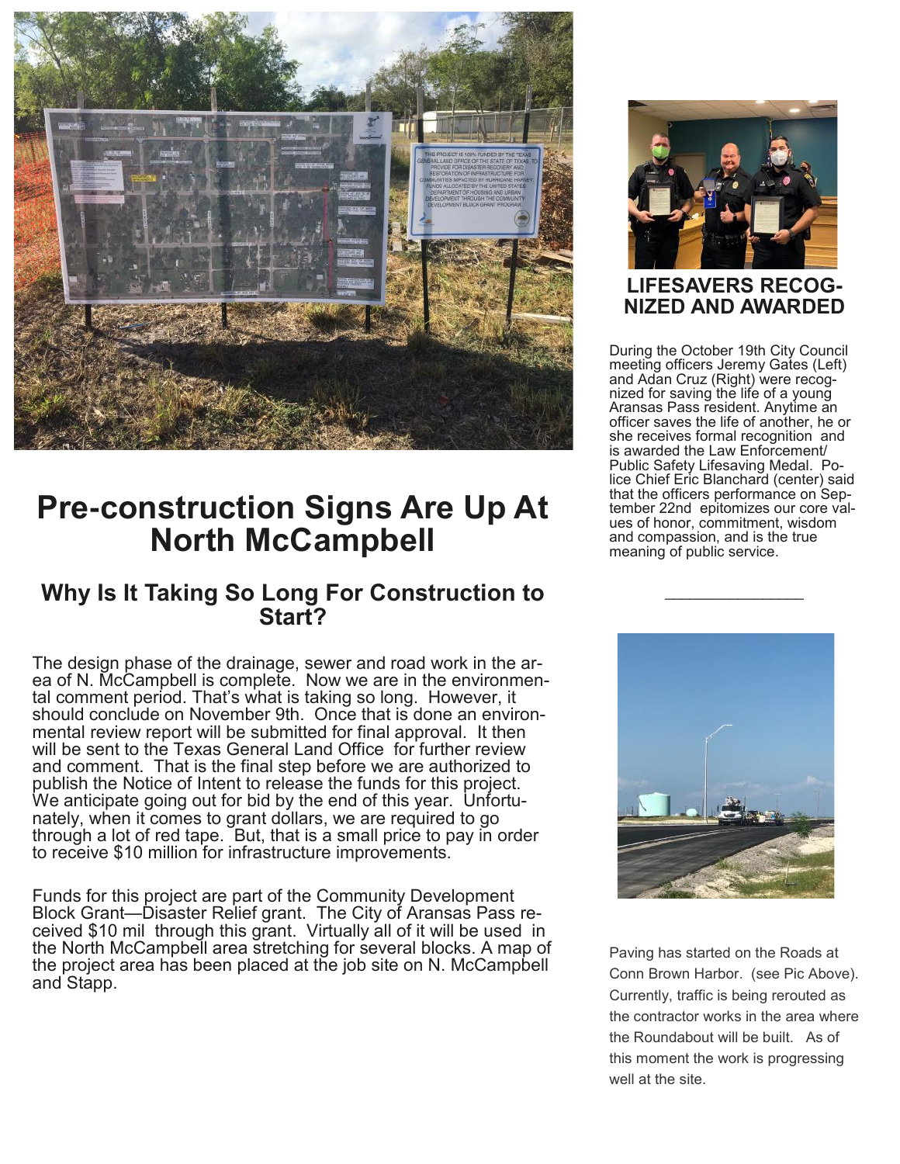

# **Pre-construction Signs Are Up At North McCampbell**

# **Why Is It Taking So Long For Construction to Start?**

The design phase of the drainage, sewer and road work in the area of N. McCampbell is complete. Now we are in the environmental comment period. That's what is taking so long. However, it should conclude on November 9th. Once that is done an environmental review report will be submitted for final approval. It then will be sent to the Texas General Land Office for further review and comment. That is the final step before we are authorized to publish the Notice of Intent to release the funds for this project. We anticipate going out for bid by the end of this year. Unfortunately, when it comes to grant dollars, we are required to go through a lot of red tape. But, that is a small price to pay in order to receive \$10 million for infrastructure improvements.

Funds for this project are part of the Community Development Block Grant—Disaster Relief grant. The City of Aransas Pass received \$10 mil through this grant. Virtually all of it will be used in the North McCampbell area stretching for several blocks. A map of the project area has been placed at the job site on N. McCampbell and Stapp.



## **LIFESAVERS RECOG-NIZED AND AWARDED**

During the October 19th City Council meeting officers Jeremy Gates (Left) and Adan Cruz (Right) were recognized for saving the life of a young Aransas Pass resident. Anytime an officer saves the life of another, he or she receives formal recognition and is awarded the Law Enforcement/ Public Safety Lifesaving Medal. Police Chief Eric Blanchard (center) said that the officers performance on September 22nd epitomizes our core values of honor, commitment, wisdom and compassion, and is the true meaning of public service.

 $\overline{\phantom{a}}$  , where  $\overline{\phantom{a}}$  , where  $\overline{\phantom{a}}$ 



Paving has started on the Roads at Conn Brown Harbor. (see Pic Above). Currently, traffic is being rerouted as the contractor works in the area where the Roundabout will be built. As of this moment the work is progressing well at the site.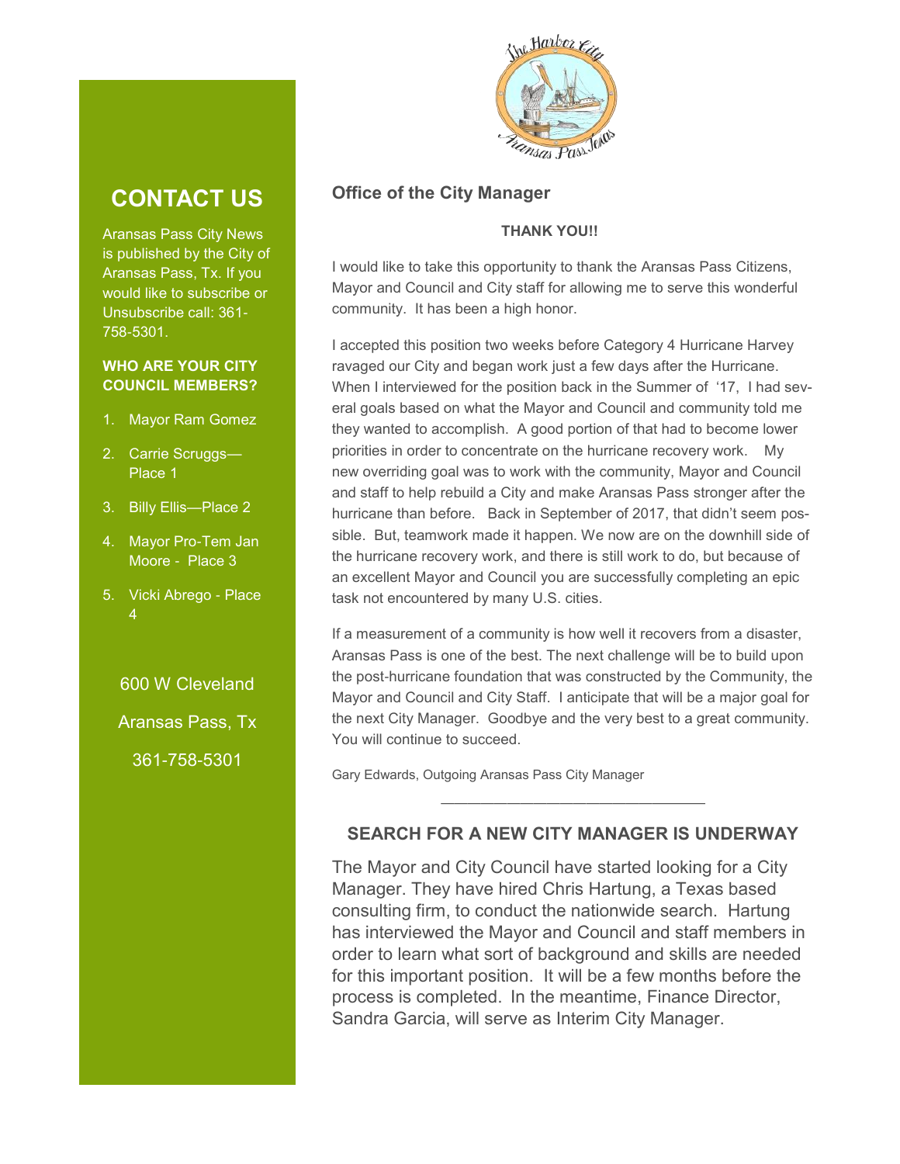# **CONTACT US**

Aransas Pass City News is published by the City of Aransas Pass, Tx. If you would like to subscribe or Unsubscribe call: 361- 758-5301.

### **WHO ARE YOUR CITY COUNCIL MEMBERS?**

- 1. Mayor Ram Gomez
- 2. Carrie Scruggs— Place 1
- 3. Billy Ellis—Place 2
- 4. Mayor Pro-Tem Jan Moore - Place 3
- 5. Vicki Abrego Place 4

600 W Cleveland

Aransas Pass, Tx

361-758-5301



## **Office of the City Manager**

### **THANK YOU!!**

I would like to take this opportunity to thank the Aransas Pass Citizens, Mayor and Council and City staff for allowing me to serve this wonderful community. It has been a high honor.

I accepted this position two weeks before Category 4 Hurricane Harvey ravaged our City and began work just a few days after the Hurricane. When I interviewed for the position back in the Summer of '17, I had several goals based on what the Mayor and Council and community told me they wanted to accomplish. A good portion of that had to become lower priorities in order to concentrate on the hurricane recovery work. My new overriding goal was to work with the community, Mayor and Council and staff to help rebuild a City and make Aransas Pass stronger after the hurricane than before. Back in September of 2017, that didn't seem possible. But, teamwork made it happen. We now are on the downhill side of the hurricane recovery work, and there is still work to do, but because of an excellent Mayor and Council you are successfully completing an epic task not encountered by many U.S. cities.

If a measurement of a community is how well it recovers from a disaster, Aransas Pass is one of the best. The next challenge will be to build upon the post-hurricane foundation that was constructed by the Community, the Mayor and Council and City Staff. I anticipate that will be a major goal for the next City Manager. Goodbye and the very best to a great community. You will continue to succeed.

Gary Edwards, Outgoing Aransas Pass City Manager

## **SEARCH FOR A NEW CITY MANAGER IS UNDERWAY**

————————————————————

The Mayor and City Council have started looking for a City Manager. They have hired Chris Hartung, a Texas based consulting firm, to conduct the nationwide search. Hartung has interviewed the Mayor and Council and staff members in order to learn what sort of background and skills are needed for this important position. It will be a few months before the process is completed. In the meantime, Finance Director, Sandra Garcia, will serve as Interim City Manager.